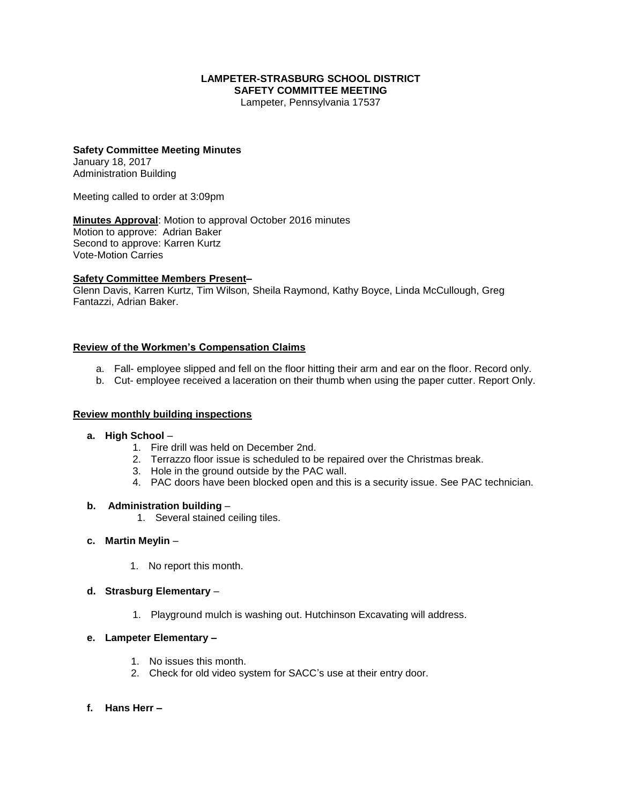## **LAMPETER-STRASBURG SCHOOL DISTRICT SAFETY COMMITTEE MEETING**

Lampeter, Pennsylvania 17537

#### **Safety Committee Meeting Minutes** January 18, 2017

Administration Building

Meeting called to order at 3:09pm

**Minutes Approval**: Motion to approval October 2016 minutes Motion to approve: Adrian Baker Second to approve: Karren Kurtz Vote-Motion Carries

## **Safety Committee Members Present–**

Glenn Davis, Karren Kurtz, Tim Wilson, Sheila Raymond, Kathy Boyce, Linda McCullough, Greg Fantazzi, Adrian Baker.

### **Review of the Workmen's Compensation Claims**

- a. Fall- employee slipped and fell on the floor hitting their arm and ear on the floor. Record only.
- b. Cut- employee received a laceration on their thumb when using the paper cutter. Report Only.

### **Review monthly building inspections**

- **a. High School**
	- 1. Fire drill was held on December 2nd.
	- 2. Terrazzo floor issue is scheduled to be repaired over the Christmas break.
	- 3. Hole in the ground outside by the PAC wall.
	- 4. PAC doors have been blocked open and this is a security issue. See PAC technician.

### **b. Administration building** –

1. Several stained ceiling tiles.

### **c. Martin Meylin** –

1. No report this month.

### **d. Strasburg Elementary** –

1. Playground mulch is washing out. Hutchinson Excavating will address.

### **e. Lampeter Elementary –**

- 1. No issues this month.
- 2. Check for old video system for SACC's use at their entry door.
- **f. Hans Herr –**